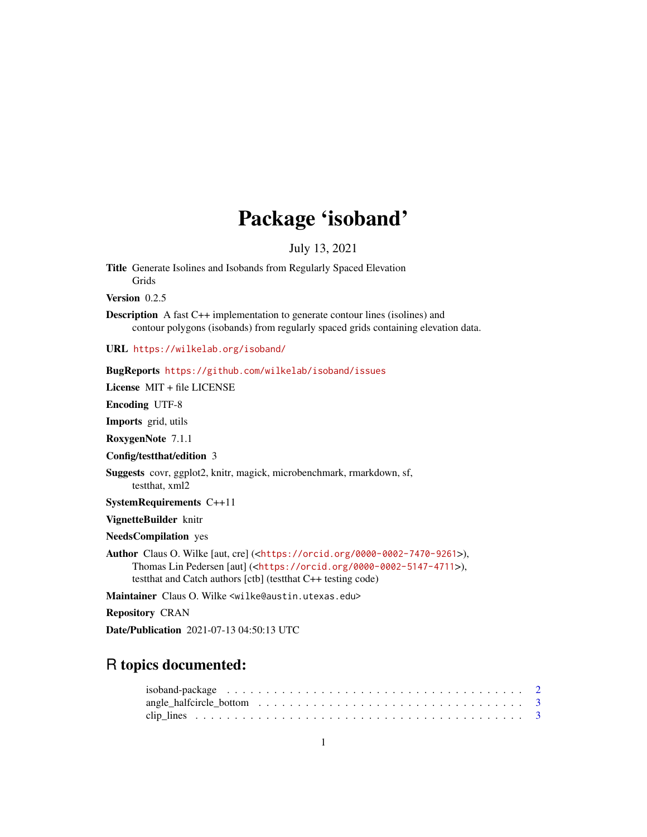## Package 'isoband'

July 13, 2021

Title Generate Isolines and Isobands from Regularly Spaced Elevation Grids

Version 0.2.5

Description A fast C++ implementation to generate contour lines (isolines) and contour polygons (isobands) from regularly spaced grids containing elevation data.

URL <https://wilkelab.org/isoband/>

|  |  | <b>BugReports</b> https://github.com/wilkelab/isoband/issues |  |  |  |
|--|--|--------------------------------------------------------------|--|--|--|
|--|--|--------------------------------------------------------------|--|--|--|

License MIT + file LICENSE

Encoding UTF-8

Imports grid, utils

RoxygenNote 7.1.1

Config/testthat/edition 3

Suggests covr, ggplot2, knitr, magick, microbenchmark, rmarkdown, sf, testthat, xml2

SystemRequirements C++11

VignetteBuilder knitr

NeedsCompilation yes

Author Claus O. Wilke [aut, cre] (<<https://orcid.org/0000-0002-7470-9261>>), Thomas Lin Pedersen [aut] (<<https://orcid.org/0000-0002-5147-4711>>), testthat and Catch authors [ctb] (testthat C++ testing code)

Maintainer Claus O. Wilke <wilke@austin.utexas.edu>

Repository CRAN

Date/Publication 2021-07-13 04:50:13 UTC

## R topics documented: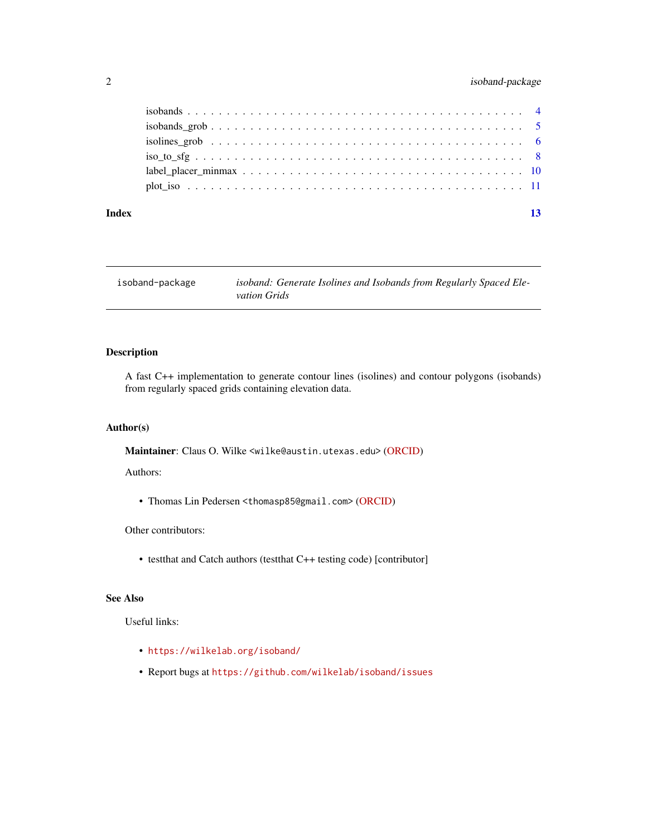### <span id="page-1-0"></span>2 isoband-package

#### **Index** [13](#page-12-0)

isoband-package *isoband: Generate Isolines and Isobands from Regularly Spaced Elevation Grids*

#### Description

A fast C++ implementation to generate contour lines (isolines) and contour polygons (isobands) from regularly spaced grids containing elevation data.

#### Author(s)

Maintainer: Claus O. Wilke <wilke@austin.utexas.edu> [\(ORCID\)](https://orcid.org/0000-0002-7470-9261)

Authors:

• Thomas Lin Pedersen <thomasp85@gmail.com> [\(ORCID\)](https://orcid.org/0000-0002-5147-4711)

#### Other contributors:

• testthat and Catch authors (testthat C++ testing code) [contributor]

#### See Also

Useful links:

- <https://wilkelab.org/isoband/>
- Report bugs at <https://github.com/wilkelab/isoband/issues>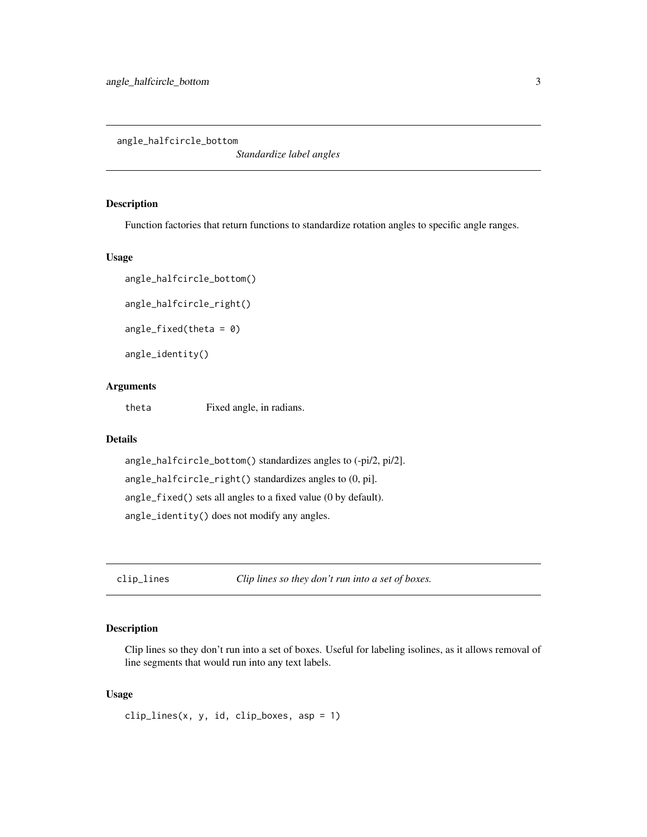<span id="page-2-1"></span><span id="page-2-0"></span>angle\_halfcircle\_bottom

*Standardize label angles*

#### Description

Function factories that return functions to standardize rotation angles to specific angle ranges.

#### Usage

```
angle_halfcircle_bottom()
```

```
angle_halfcircle_right()
```
 $angle_fixed(theta = 0)$ 

angle\_identity()

#### Arguments

theta Fixed angle, in radians.

#### Details

```
angle_halfcircle_bottom() standardizes angles to (-pi/2, pi/2].
angle_halfcircle_right() standardizes angles to (0, pi].
angle_fixed() sets all angles to a fixed value (0 by default).
angle_identity() does not modify any angles.
```
clip\_lines *Clip lines so they don't run into a set of boxes.*

#### Description

Clip lines so they don't run into a set of boxes. Useful for labeling isolines, as it allows removal of line segments that would run into any text labels.

#### Usage

 $clip\_lines(x, y, id, clip\_boxes, asp = 1)$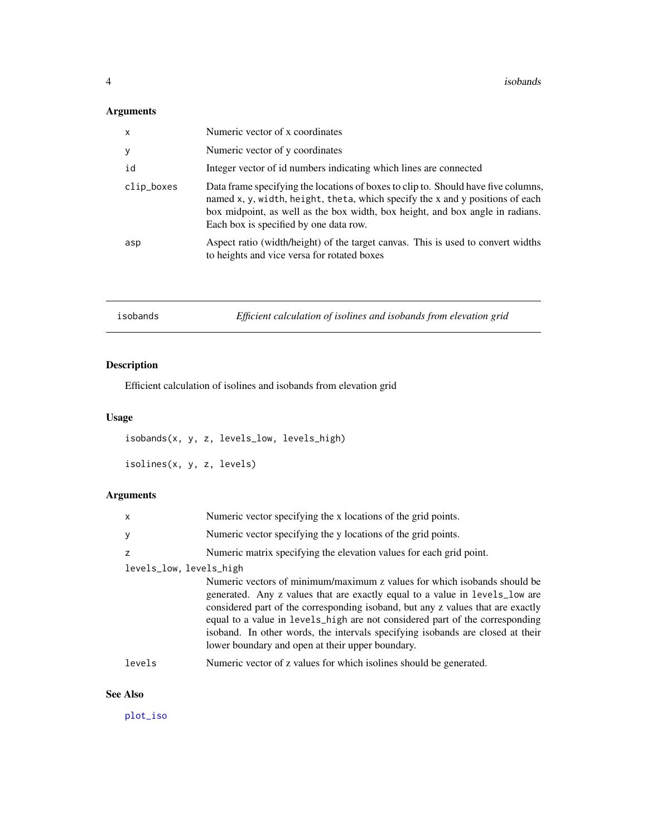#### <span id="page-3-0"></span>Arguments

| x          | Numeric vector of x coordinates                                                                                                                                                                                                                                                                |
|------------|------------------------------------------------------------------------------------------------------------------------------------------------------------------------------------------------------------------------------------------------------------------------------------------------|
| У          | Numeric vector of y coordinates                                                                                                                                                                                                                                                                |
| id         | Integer vector of id numbers indicating which lines are connected                                                                                                                                                                                                                              |
| clip_boxes | Data frame specifying the locations of boxes to clip to. Should have five columns,<br>named x, y, width, height, theta, which specify the x and y positions of each<br>box midpoint, as well as the box width, box height, and box angle in radians.<br>Each box is specified by one data row. |
| asp        | Aspect ratio (width/height) of the target canvas. This is used to convert widths<br>to heights and vice versa for rotated boxes                                                                                                                                                                |

<span id="page-3-1"></span>

| Efficient calculation of isolines and isobands from elevation grid<br>isobands |  |
|--------------------------------------------------------------------------------|--|
|--------------------------------------------------------------------------------|--|

## <span id="page-3-2"></span>Description

Efficient calculation of isolines and isobands from elevation grid

### Usage

isobands(x, y, z, levels\_low, levels\_high)

isolines(x, y, z, levels)

### Arguments

| $\mathsf{x}$            | Numeric vector specifying the x locations of the grid points.                                                                                                                                                                                                                                                                                                                                                                                                    |
|-------------------------|------------------------------------------------------------------------------------------------------------------------------------------------------------------------------------------------------------------------------------------------------------------------------------------------------------------------------------------------------------------------------------------------------------------------------------------------------------------|
| y                       | Numeric vector specifying the y locations of the grid points.                                                                                                                                                                                                                                                                                                                                                                                                    |
| z                       | Numeric matrix specifying the elevation values for each grid point.                                                                                                                                                                                                                                                                                                                                                                                              |
| levels_low, levels_high |                                                                                                                                                                                                                                                                                                                                                                                                                                                                  |
|                         | Numeric vectors of minimum/maximum z values for which isobands should be<br>generated. Any z values that are exactly equal to a value in levels_low are<br>considered part of the corresponding isoband, but any z values that are exactly<br>equal to a value in levels_high are not considered part of the corresponding<br>isoband. In other words, the intervals specifying isobands are closed at their<br>lower boundary and open at their upper boundary. |
| levels                  | Numeric vector of z values for which isolines should be generated.                                                                                                                                                                                                                                                                                                                                                                                               |
|                         |                                                                                                                                                                                                                                                                                                                                                                                                                                                                  |

#### See Also

[plot\\_iso](#page-10-1)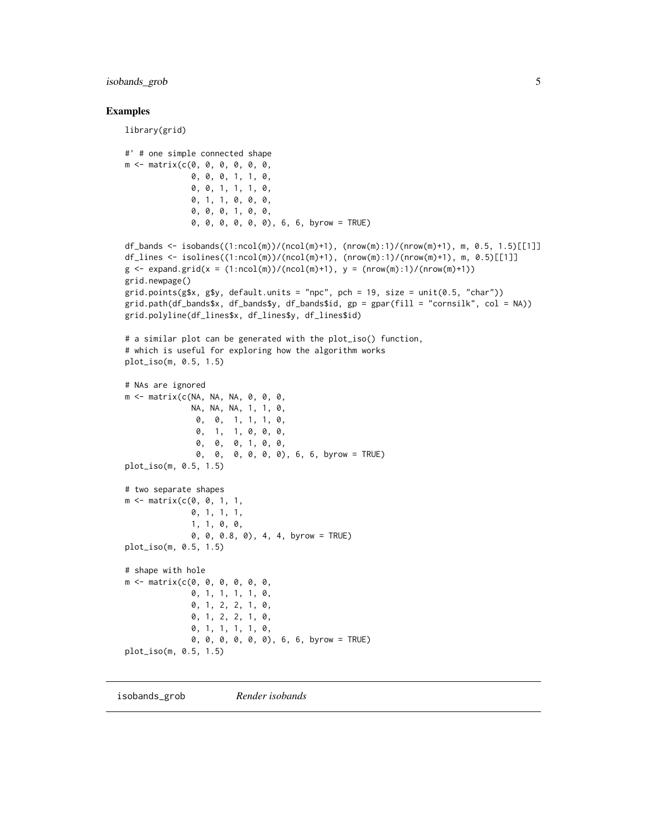<span id="page-4-0"></span>isobands\_grob 5

#### Examples

library(grid)

```
#' # one simple connected shape
m <- matrix(c(0, 0, 0, 0, 0, 0,
              0, 0, 0, 1, 1, 0,
              0, 0, 1, 1, 1, 0,
              0, 1, 1, 0, 0, 0,
              0, 0, 0, 1, 0, 0,
              0, 0, 0, 0, 0, 0), 6, 6, byrow = TRUE)
df_bands <- isobands((1:ncol(m))/(ncol(m)+1), (nrow(m):1)/(nrow(m)+1), m, 0.5, 1.5)[[1]]
df_lines <- isolines((1:ncol(m))/(ncol(m)+1), (nrow(m):1)/(nrow(m)+1), m, 0.5)[[1]]
g \le - expand.grid(x = (1:ncol(m))/(ncol(m)+1), y = (nrow(m):1)/(nrow(m)+1))
grid.newpage()
grid.points(g$x, g$y, default.units = "npc", pch = 19, size = unit(0.5, "char"))
grid.path(df_bands, df_bandsy, df_bands, df_bands, gp = gpar(fill = "cornsilk", col = NA)grid.polyline(df_lines$x, df_lines$y, df_lines$id)
# a similar plot can be generated with the plot_iso() function,
# which is useful for exploring how the algorithm works
plot_iso(m, 0.5, 1.5)
# NAs are ignored
m <- matrix(c(NA, NA, NA, 0, 0, 0,
              NA, NA, NA, 1, 1, 0,
              0, 0, 1, 1, 1, 0,
               0, 1, 1, 0, 0, 0,
               0, 0, 0, 1, 0, 0,
               0, 0, 0, 0, 0, 0), 6, 6, byrow = TRUE)
plot_iso(m, 0.5, 1.5)
# two separate shapes
m <- matrix(c(0, 0, 1, 1,
              0, 1, 1, 1,
              1, 1, 0, 0,
              0, 0, 0.8, 0), 4, 4, byrow = TRUE)
plot_iso(m, 0.5, 1.5)
# shape with hole
m <- matrix(c(0, 0, 0, 0, 0, 0,
              0, 1, 1, 1, 1, 0,
              0, 1, 2, 2, 1, 0,
              0, 1, 2, 2, 1, 0,
              0, 1, 1, 1, 1, 0,
              0, 0, 0, 0, 0, 0), 6, 6, byrow = TRUE)
plot_iso(m, 0.5, 1.5)
```
<span id="page-4-1"></span>isobands\_grob *Render isobands*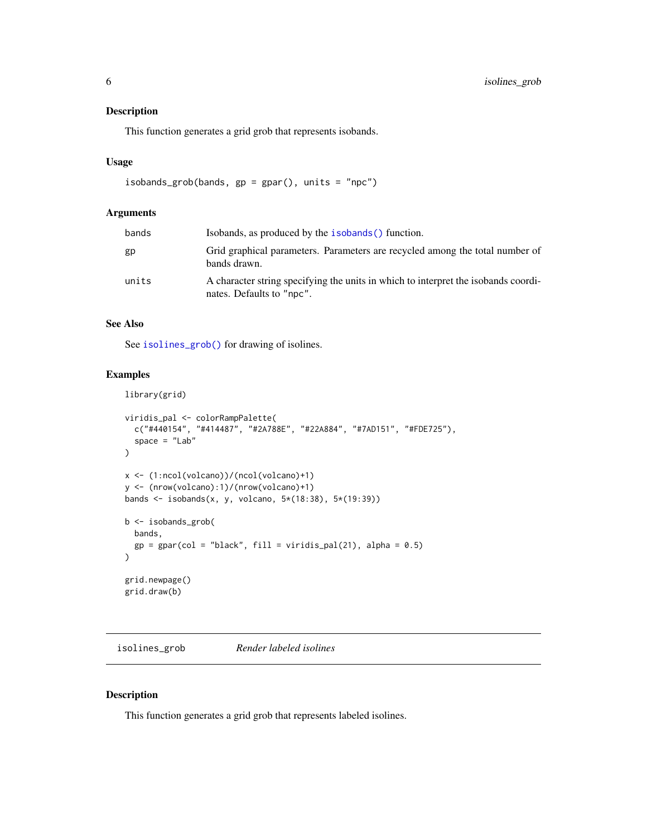#### <span id="page-5-0"></span>Description

This function generates a grid grob that represents isobands.

#### Usage

```
isobands_grob(bands, gp = gpar(), units = "npc")
```
#### Arguments

| bands | Isobands, as produced by the <b>isobands</b> () function.                                                       |
|-------|-----------------------------------------------------------------------------------------------------------------|
| gp    | Grid graphical parameters. Parameters are recycled among the total number of<br>bands drawn.                    |
| units | A character string specifying the units in which to interpret the isobands coordi-<br>nates. Defaults to "npc". |

#### See Also

See [isolines\\_grob\(\)](#page-5-1) for drawing of isolines.

#### Examples

```
library(grid)
viridis_pal <- colorRampPalette(
  c("#440154", "#414487", "#2A788E", "#22A884", "#7AD151", "#FDE725"),
  space = "Lab"\mathcal{L}x <- (1:ncol(volcano))/(ncol(volcano)+1)
y <- (nrow(volcano):1)/(nrow(volcano)+1)
bands <- isobands(x, y, volcano, 5*(18:38), 5*(19:39))
b <- isobands_grob(
  bands,
  gp = gpar(col = "black", fill = viridis_and(21), alpha = 0.5)\lambdagrid.newpage()
grid.draw(b)
```
<span id="page-5-1"></span>isolines\_grob *Render labeled isolines*

#### Description

This function generates a grid grob that represents labeled isolines.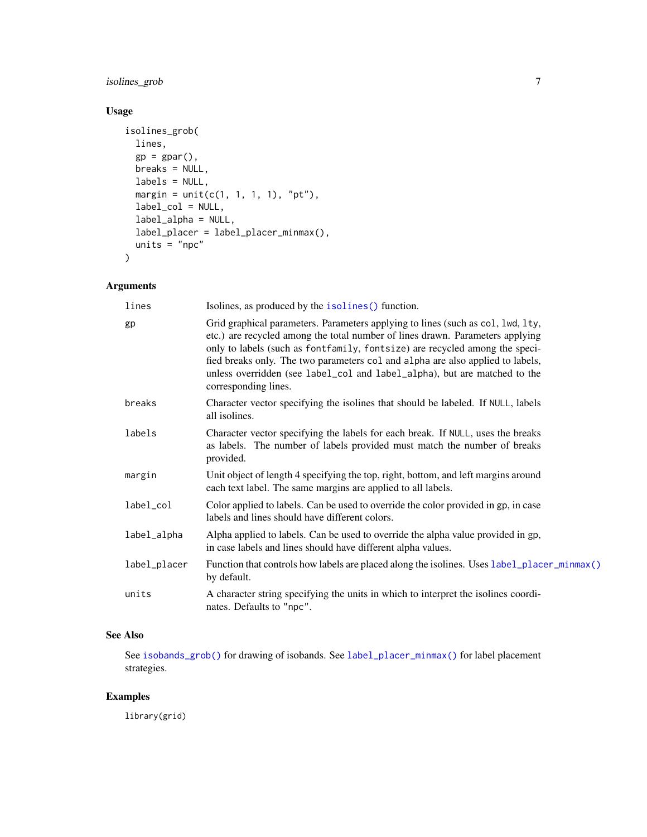### <span id="page-6-0"></span>isolines\_grob 7

#### Usage

```
isolines_grob(
 lines,
 gp = gpar(),
 breaks = NULL,
 labels = NULL,
 margin = unit(c(1, 1, 1, 1), "pt"),label_col = NULL,
  label_alpha = NULL,
 label_placer = label_placer_minmax(),
 units = "npc"
\mathcal{L}
```
### Arguments

| lines        | Isolines, as produced by the isolines () function.                                                                                                                                                                                                                                                                                                                                                                                     |
|--------------|----------------------------------------------------------------------------------------------------------------------------------------------------------------------------------------------------------------------------------------------------------------------------------------------------------------------------------------------------------------------------------------------------------------------------------------|
| gp           | Grid graphical parameters. Parameters applying to lines (such as col, lwd, lty,<br>etc.) are recycled among the total number of lines drawn. Parameters applying<br>only to labels (such as fontfamily, fontsize) are recycled among the speci-<br>fied breaks only. The two parameters col and alpha are also applied to labels,<br>unless overridden (see label_col and label_alpha), but are matched to the<br>corresponding lines. |
| breaks       | Character vector specifying the isolines that should be labeled. If NULL, labels<br>all isolines.                                                                                                                                                                                                                                                                                                                                      |
| labels       | Character vector specifying the labels for each break. If NULL, uses the breaks<br>as labels. The number of labels provided must match the number of breaks<br>provided.                                                                                                                                                                                                                                                               |
| margin       | Unit object of length 4 specifying the top, right, bottom, and left margins around<br>each text label. The same margins are applied to all labels.                                                                                                                                                                                                                                                                                     |
| label_col    | Color applied to labels. Can be used to override the color provided in gp, in case<br>labels and lines should have different colors.                                                                                                                                                                                                                                                                                                   |
| label_alpha  | Alpha applied to labels. Can be used to override the alpha value provided in gp,<br>in case labels and lines should have different alpha values.                                                                                                                                                                                                                                                                                       |
| label_placer | Function that controls how labels are placed along the isolines. Uses label_placer_minmax()<br>by default.                                                                                                                                                                                                                                                                                                                             |
| units        | A character string specifying the units in which to interpret the isolines coordi-<br>nates. Defaults to "npc".                                                                                                                                                                                                                                                                                                                        |
|              |                                                                                                                                                                                                                                                                                                                                                                                                                                        |

## See Also

See [isobands\\_grob\(\)](#page-4-1) for drawing of isobands. See [label\\_placer\\_minmax\(\)](#page-9-1) for label placement strategies.

#### Examples

library(grid)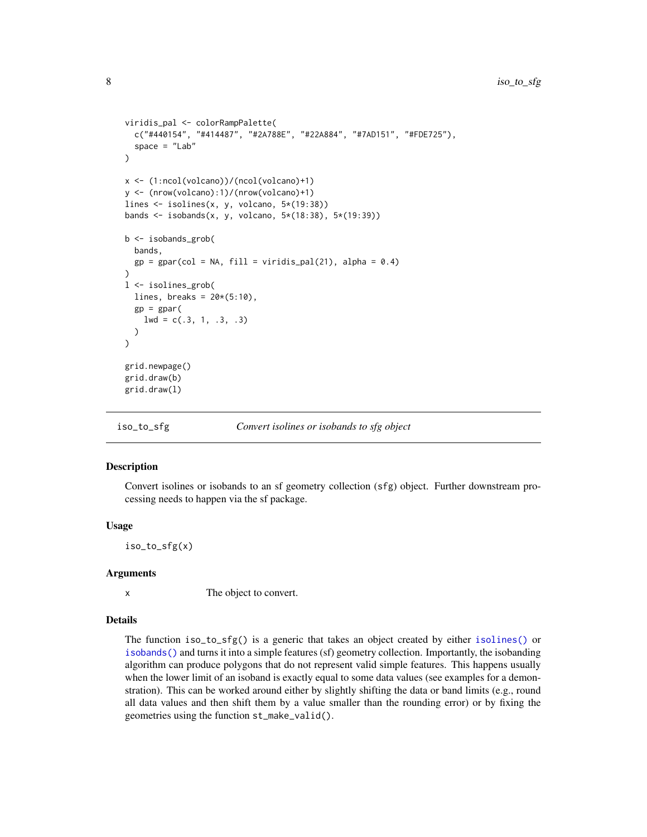```
viridis_pal <- colorRampPalette(
  c("#440154", "#414487", "#2A788E", "#22A884", "#7AD151", "#FDE725"),
  space = "Lab")
x <- (1:ncol(volcano))/(ncol(volcano)+1)
y <- (nrow(volcano):1)/(nrow(volcano)+1)
lines <- isolines(x, y, volcano, 5*(19:38))
bands <- isobands(x, y, volcano, 5*(18:38), 5*(19:39))
b <- isobands_grob(
  bands,
  gp = gpar(col = NA, fill = viridis_pal(21), alpha = 0.4))
l <- isolines_grob(
  lines, breaks = 20*(5:10),
  gp = gpar(1wd = c(.3, 1, .3, .3))
)
grid.newpage()
grid.draw(b)
grid.draw(l)
```
iso\_to\_sfg *Convert isolines or isobands to sfg object*

#### Description

Convert isolines or isobands to an sf geometry collection (sfg) object. Further downstream processing needs to happen via the sf package.

#### Usage

iso\_to\_sfg(x)

#### Arguments

x The object to convert.

#### Details

The function iso\_to\_sfg() is a generic that takes an object created by either [isolines\(\)](#page-3-2) or [isobands\(\)](#page-3-1) and turns it into a simple features (sf) geometry collection. Importantly, the isobanding algorithm can produce polygons that do not represent valid simple features. This happens usually when the lower limit of an isoband is exactly equal to some data values (see examples for a demonstration). This can be worked around either by slightly shifting the data or band limits (e.g., round all data values and then shift them by a value smaller than the rounding error) or by fixing the geometries using the function st\_make\_valid().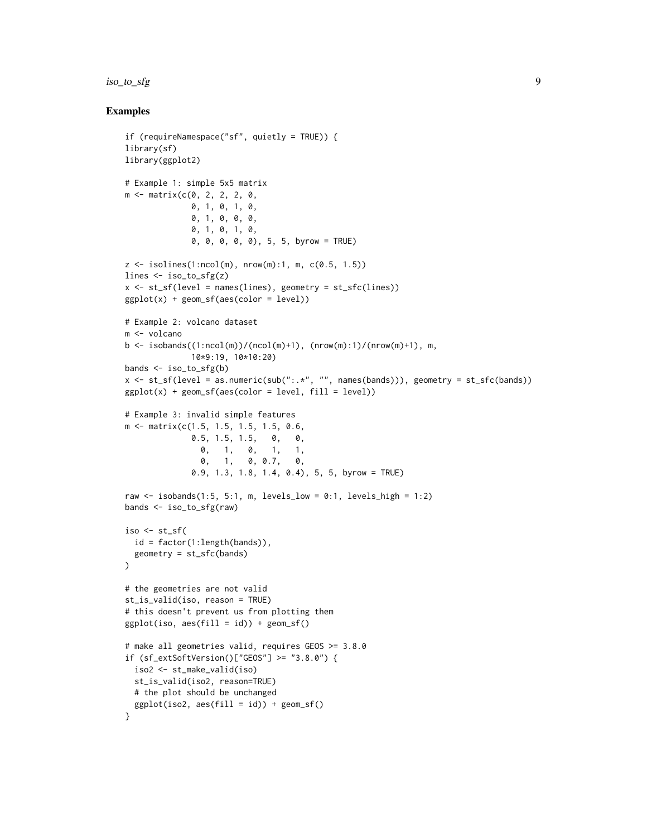#### iso\_to\_sfg 9

#### Examples

```
if (requireNamespace("sf", quietly = TRUE)) {
library(sf)
library(ggplot2)
# Example 1: simple 5x5 matrix
m <- matrix(c(0, 2, 2, 2, 0,
              0, 1, 0, 1, 0,
             0, 1, 0, 0, 0,
             0, 1, 0, 1, 0,
              0, 0, 0, 0, 0), 5, 5, byrow = TRUE)
z \le isolines(1:ncol(m), nrow(m):1, m, c(0.5, 1.5))
lines <- iso_to_sfg(z)
x \leq -st_{s}f(level = names(lines), geometry = st_{s}f(lines))ggplot(x) + geom_sf(aes(color = level))# Example 2: volcano dataset
m <- volcano
b \leq isobands((1:ncol(m))/(ncol(m)+1), (nrow(m):1)/(nrow(m)+1), m,
             10*9:19, 10*10:20)
bands <- iso_to_sfg(b)
x <- st_sf(level = as.numeric(sub(":.*", "", names(bands))), geometry = st_sfc(bands))
ggplot(x) + geom_sf(aes(color = level, fill = level))# Example 3: invalid simple features
m <- matrix(c(1.5, 1.5, 1.5, 1.5, 0.6,
              0.5, 1.5, 1.5, 0, 0,
                0, 1, 0, 1, 1,
                0, 1, 0, 0.7, 0,
              0.9, 1.3, 1.8, 1.4, 0.4), 5, 5, byrow = TRUE)
raw \le isobands(1:5, 5:1, m, levels_low = 0:1, levels_high = 1:2)
bands <- iso_to_sfg(raw)
iso \le st_sf(
  id = factor(1:length(bands)),
  geometry = st_sfc(bands)
)
# the geometries are not valid
st_is_valid(iso, reason = TRUE)
# this doesn't prevent us from plotting them
ggplot(iso, aes(fill = id)) + geom_s(f)# make all geometries valid, requires GEOS >= 3.8.0
if (sf_extSoftVersion()["GEOS"] >= "3.8.0") {
  iso2 <- st_make_valid(iso)
  st_is_valid(iso2, reason=TRUE)
  # the plot should be unchanged
  ggplot(iso2, aes(fill = id)) + geom_s(f)}
```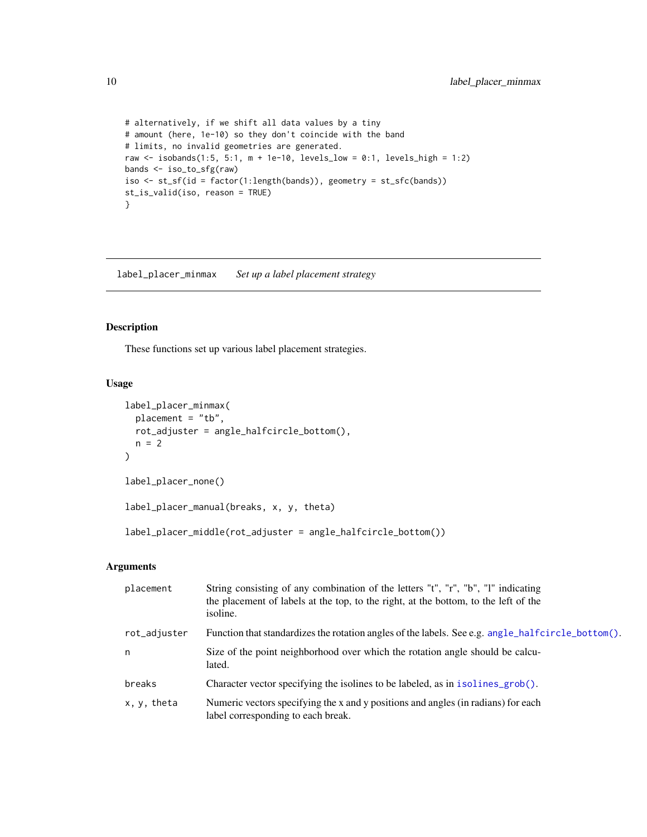```
# alternatively, if we shift all data values by a tiny
# amount (here, 1e-10) so they don't coincide with the band
# limits, no invalid geometries are generated.
raw \le isobands(1:5, 5:1, m + 1e-10, levels_low = 0:1, levels_high = 1:2)
bands <- iso_to_sfg(raw)
iso <- st_sf(id = factor(1:length(bands)), geometry = st_sfc(bands))
st_is_valid(iso, reason = TRUE)
}
```
<span id="page-9-1"></span>label\_placer\_minmax *Set up a label placement strategy*

#### Description

These functions set up various label placement strategies.

#### Usage

```
label_placer_minmax(
 placement = "tb",
 rot_adjuster = angle_halfcircle_bottom(),
 n = 2)
label_placer_none()
label_placer_manual(breaks, x, y, theta)
label_placer_middle(rot_adjuster = angle_halfcircle_bottom())
```
#### Arguments

| placement    | String consisting of any combination of the letters "t", "r", "b", "l" indicating<br>the placement of labels at the top, to the right, at the bottom, to the left of the<br>isoline. |
|--------------|--------------------------------------------------------------------------------------------------------------------------------------------------------------------------------------|
| rot_adjuster | Function that standardizes the rotation angles of the labels. See e.g. angle_halfcircle_bottom().                                                                                    |
| n            | Size of the point neighborhood over which the rotation angle should be calcu-<br>lated.                                                                                              |
| breaks       | Character vector specifying the isolines to be labeled, as in isolines_grob().                                                                                                       |
| x, y, theta  | Numeric vectors specifying the x and y positions and angles (in radians) for each<br>label corresponding to each break.                                                              |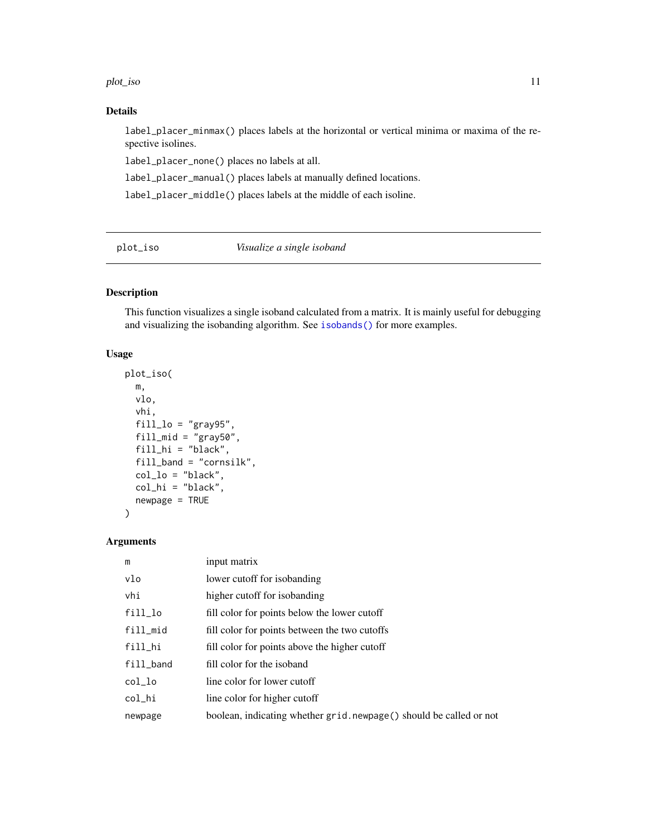#### <span id="page-10-0"></span>plot\_iso 11

#### Details

label\_placer\_minmax() places labels at the horizontal or vertical minima or maxima of the respective isolines.

label\_placer\_none() places no labels at all.

label\_placer\_manual() places labels at manually defined locations.

label\_placer\_middle() places labels at the middle of each isoline.

<span id="page-10-1"></span>plot\_iso *Visualize a single isoband*

#### Description

This function visualizes a single isoband calculated from a matrix. It is mainly useful for debugging and visualizing the isobanding algorithm. See [isobands\(\)](#page-3-1) for more examples.

#### Usage

```
plot_iso(
 m,
  vlo,
  vhi,
  fill\_lo = "gray95",fill\_mid = "gray50",fill_hi = "black",
  fill_band = "cornsilk",
  col\_lo = "black",col_hi = "black",
  newpage = TRUE
)
```
#### Arguments

| m           | input matrix                                                         |
|-------------|----------------------------------------------------------------------|
| vlo         | lower cutoff for isobanding                                          |
| vhi         | higher cutoff for isobanding                                         |
| $fill\_lo$  | fill color for points below the lower cutoff                         |
| $fill\_mid$ | fill color for points between the two cutoffs                        |
| fill_hi     | fill color for points above the higher cutoff                        |
| fill_band   | fill color for the isoband                                           |
| col_lo      | line color for lower cutoff                                          |
| col_hi      | line color for higher cutoff                                         |
| newpage     | boolean, indicating whether grid. newpage () should be called or not |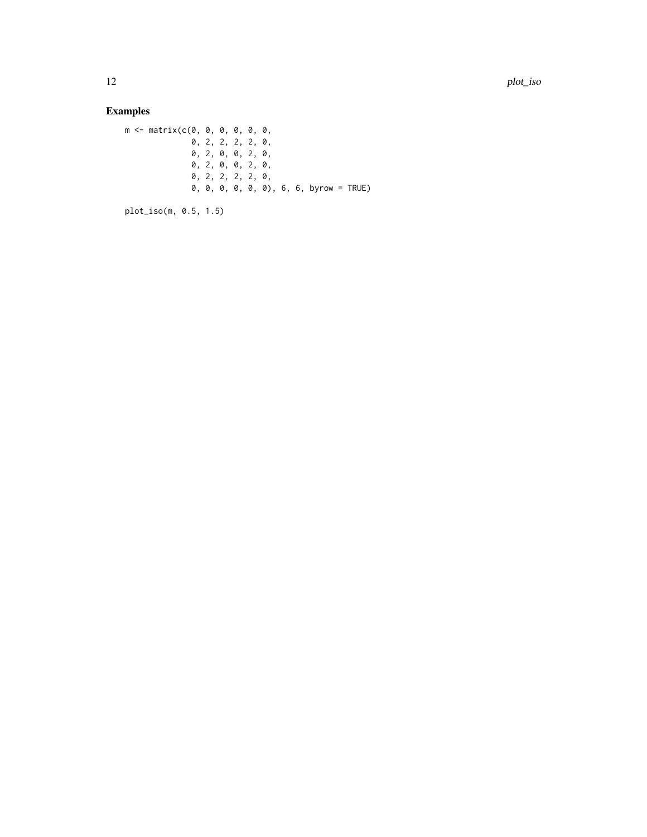## Examples

m <- matrix(c(0, 0, 0, 0, 0, 0, 0, 2, 2, 2, 2, 0, 0, 2, 0, 0, 2, 0, 0, 2, 0, 0, 2, 0, 0, 2, 2, 2, 2, 0, 0, 0, 0, 0, 0, 0), 6, 6, byrow = TRUE)

plot\_iso(m, 0.5, 1.5)